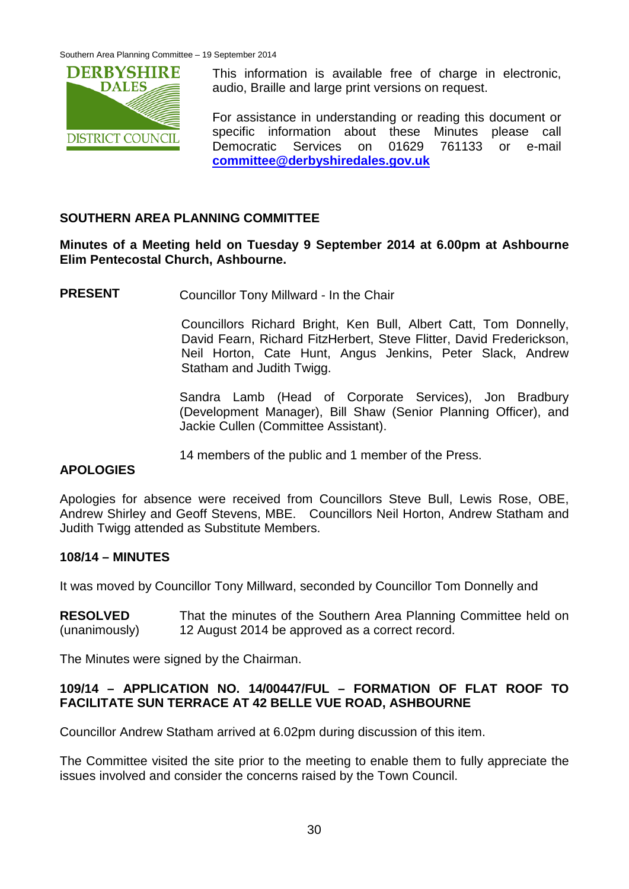

This information is available free of charge in electronic, audio, Braille and large print versions on request.

For assistance in understanding or reading this document or specific information about these Minutes please call Democratic Services on 01629 761133 or e-mail **[committee@derbyshiredales.gov.uk](mailto:committee@derbyshiredales.gov.uk)**

## **SOUTHERN AREA PLANNING COMMITTEE**

### **Minutes of a Meeting held on Tuesday 9 September 2014 at 6.00pm at Ashbourne Elim Pentecostal Church, Ashbourne.**

**PRESENT** Councillor Tony Millward - In the Chair

Councillors Richard Bright, Ken Bull, Albert Catt, Tom Donnelly, David Fearn, Richard FitzHerbert, Steve Flitter, David Frederickson, Neil Horton, Cate Hunt, Angus Jenkins, Peter Slack, Andrew Statham and Judith Twigg.

Sandra Lamb (Head of Corporate Services), Jon Bradbury (Development Manager), Bill Shaw (Senior Planning Officer), and Jackie Cullen (Committee Assistant).

14 members of the public and 1 member of the Press.

# **APOLOGIES**

Apologies for absence were received from Councillors Steve Bull, Lewis Rose, OBE, Andrew Shirley and Geoff Stevens, MBE. Councillors Neil Horton, Andrew Statham and Judith Twigg attended as Substitute Members.

### **108/14 – MINUTES**

It was moved by Councillor Tony Millward, seconded by Councillor Tom Donnelly and

**RESOLVED** (unanimously) That the minutes of the Southern Area Planning Committee held on 12 August 2014 be approved as a correct record.

The Minutes were signed by the Chairman.

### **109/14 – APPLICATION NO. 14/00447/FUL – FORMATION OF FLAT ROOF TO FACILITATE SUN TERRACE AT 42 BELLE VUE ROAD, ASHBOURNE**

Councillor Andrew Statham arrived at 6.02pm during discussion of this item.

The Committee visited the site prior to the meeting to enable them to fully appreciate the issues involved and consider the concerns raised by the Town Council.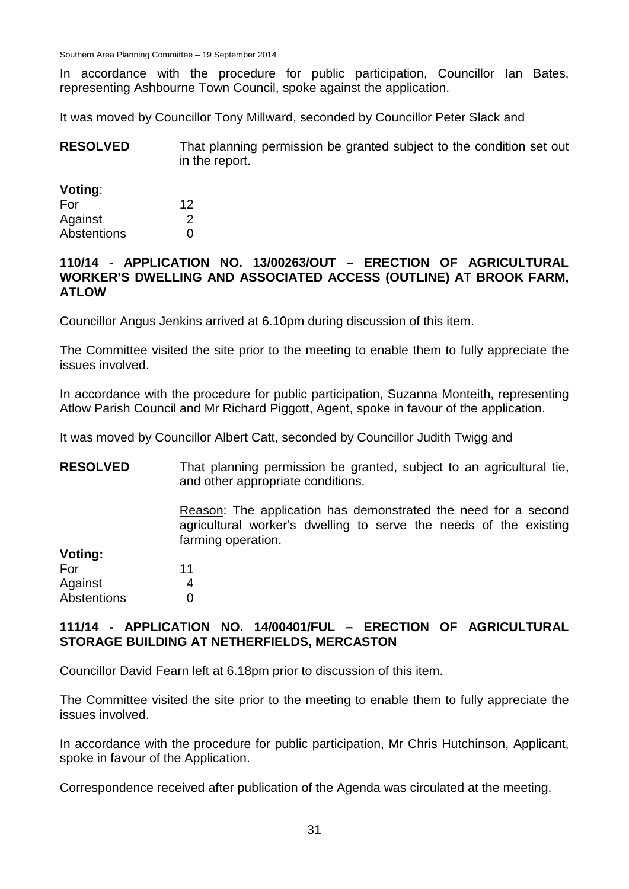Southern Area Planning Committee – 19 September 2014

In accordance with the procedure for public participation, Councillor Ian Bates, representing Ashbourne Town Council, spoke against the application.

It was moved by Councillor Tony Millward, seconded by Councillor Peter Slack and

| <b>RESOLVED</b> | That planning permission be granted subject to the condition set out |
|-----------------|----------------------------------------------------------------------|
|                 | in the report.                                                       |

#### **Voting**:

| For         | 12 |
|-------------|----|
| Against     | 2  |
| Abstentions | O  |

#### **110/14 - APPLICATION NO. 13/00263/OUT – ERECTION OF AGRICULTURAL WORKER'S DWELLING AND ASSOCIATED ACCESS (OUTLINE) AT BROOK FARM, ATLOW**

Councillor Angus Jenkins arrived at 6.10pm during discussion of this item.

The Committee visited the site prior to the meeting to enable them to fully appreciate the issues involved.

In accordance with the procedure for public participation, Suzanna Monteith, representing Atlow Parish Council and Mr Richard Piggott, Agent, spoke in favour of the application.

It was moved by Councillor Albert Catt, seconded by Councillor Judith Twigg and

**RESOLVED** That planning permission be granted, subject to an agricultural tie, and other appropriate conditions.

> Reason: The application has demonstrated the need for a second agricultural worker's dwelling to serve the needs of the existing farming operation.

| voting: |  |
|---------|--|
| For     |  |

**Voting:**

| Against     | 4 |
|-------------|---|
| Abstentions |   |

11

### **111/14 - APPLICATION NO. 14/00401/FUL – ERECTION OF AGRICULTURAL STORAGE BUILDING AT NETHERFIELDS, MERCASTON**

Councillor David Fearn left at 6.18pm prior to discussion of this item.

The Committee visited the site prior to the meeting to enable them to fully appreciate the issues involved.

In accordance with the procedure for public participation, Mr Chris Hutchinson, Applicant, spoke in favour of the Application.

Correspondence received after publication of the Agenda was circulated at the meeting.